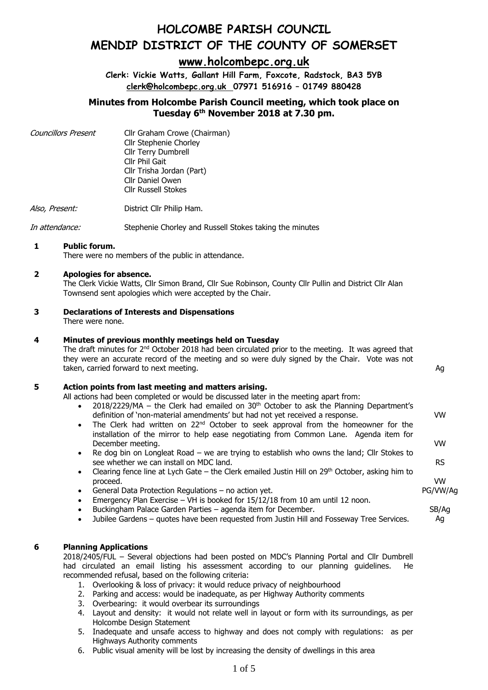## **[www.holcombepc.org.uk](http://www.holcombepc.org.uk/)**

**Clerk: Vickie Watts, Gallant Hill Farm, Foxcote, Radstock, BA3 5YB [clerk@holcombepc.org.uk](mailto:victoriawatts@orange.net) 07971 516916 – 01749 880428**

## **Minutes from Holcombe Parish Council meeting, which took place on Tuesday 6 th November 2018 at 7.30 pm.**

Councillors Present Cllr Graham Crowe (Chairman) Cllr Stephenie Chorley Cllr Terry Dumbrell Cllr Phil Gait Cllr Trisha Jordan (Part) Cllr Daniel Owen Cllr Russell Stokes

Also, Present: District Cllr Philip Ham.

In attendance: Stephenie Chorley and Russell Stokes taking the minutes

### **1 Public forum.**

There were no members of the public in attendance.

### **2 Apologies for absence.**

The Clerk Vickie Watts, Cllr Simon Brand, Cllr Sue Robinson, County Cllr Pullin and District Cllr Alan Townsend sent apologies which were accepted by the Chair.

## **3 Declarations of Interests and Dispensations**

There were none.

### **4 Minutes of previous monthly meetings held on Tuesday**

The draft minutes for  $2<sup>nd</sup>$  October 2018 had been circulated prior to the meeting. It was agreed that they were an accurate record of the meeting and so were duly signed by the Chair. Vote was not taken, carried forward to next meeting. Ag and the state of the state of the state of the state of the state of the state of the state of the state of the state of the state of the state of the state of the state of the st

### **5 Action points from last meeting and matters arising.**

All actions had been completed or would be discussed later in the meeting apart from:

- 2018/2229/MA the Clerk had emailed on  $30<sup>th</sup>$  October to ask the Planning Department's definition of 'non-material amendments' but had not yet received a response.
- The Clerk had written on  $22^{nd}$  October to seek approval from the homeowner for the installation of the mirror to help ease negotiating from Common Lane. Agenda item for December meeting.
- Re dog bin on Longleat Road we are trying to establish who owns the land; Cllr Stokes to see whether we can install on MDC land.
- Clearing fence line at Lych Gate the Clerk emailed Justin Hill on  $29<sup>th</sup>$  October, asking him to proceed.
- General Data Protection Regulations no action yet.
- Emergency Plan Exercise VH is booked for  $15/12/18$  from 10 am until 12 noon.
- Buckingham Palace Garden Parties agenda item for December.
- Jubilee Gardens quotes have been requested from Justin Hill and Fosseway Tree Services.

### **6 Planning Applications**

2018/2405/FUL – Several objections had been posted on MDC's Planning Portal and Cllr Dumbrell had circulated an email listing his assessment according to our planning guidelines. He recommended refusal, based on the following criteria:

- 1. Overlooking & loss of privacy: it would reduce privacy of neighbourhood
- 2. Parking and access: would be inadequate, as per Highway Authority comments
- 3. Overbearing: it would overbear its surroundings
- 4. Layout and density: it would not relate well in layout or form with its surroundings, as per Holcombe Design Statement
- 5. Inadequate and unsafe access to highway and does not comply with regulations: as per Highways Authority comments
- 6. Public visual amenity will be lost by increasing the density of dwellings in this area

PG/VW/Ag SB/Ag

VW

VW

RS

VW

Ag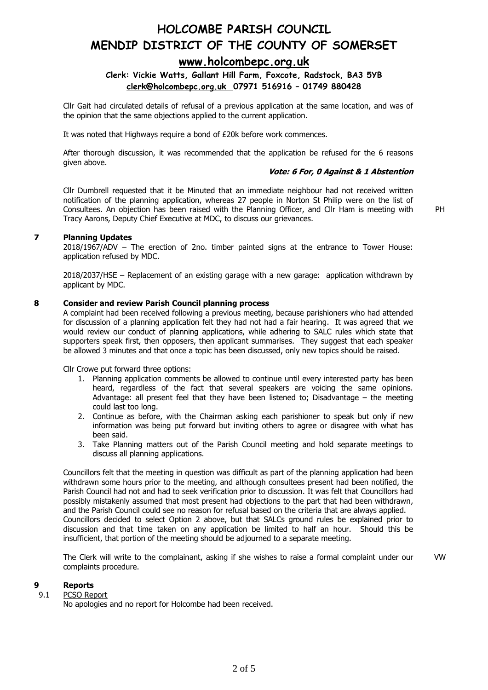## **[www.holcombepc.org.uk](http://www.holcombepc.org.uk/)**

### **Clerk: Vickie Watts, Gallant Hill Farm, Foxcote, Radstock, BA3 5YB [clerk@holcombepc.org.uk](mailto:victoriawatts@orange.net) 07971 516916 – 01749 880428**

Cllr Gait had circulated details of refusal of a previous application at the same location, and was of the opinion that the same objections applied to the current application.

It was noted that Highways require a bond of £20k before work commences.

After thorough discussion, it was recommended that the application be refused for the 6 reasons given above.

#### **Vote: 6 For, 0 Against & 1 Abstention**

Cllr Dumbrell requested that it be Minuted that an immediate neighbour had not received written notification of the planning application, whereas 27 people in Norton St Philip were on the list of Consultees. An objection has been raised with the Planning Officer, and Cllr Ham is meeting with Tracy Aarons, Deputy Chief Executive at MDC, to discuss our grievances.

PH

#### **7 Planning Updates**

2018/1967/ADV – The erection of 2no. timber painted signs at the entrance to Tower House: application refused by MDC.

2018/2037/HSE – Replacement of an existing garage with a new garage: application withdrawn by applicant by MDC.

#### **8 Consider and review Parish Council planning process**

A complaint had been received following a previous meeting, because parishioners who had attended for discussion of a planning application felt they had not had a fair hearing. It was agreed that we would review our conduct of planning applications, while adhering to SALC rules which state that supporters speak first, then opposers, then applicant summarises. They suggest that each speaker be allowed 3 minutes and that once a topic has been discussed, only new topics should be raised.

Cllr Crowe put forward three options:

- 1. Planning application comments be allowed to continue until every interested party has been heard, regardless of the fact that several speakers are voicing the same opinions. Advantage: all present feel that they have been listened to; Disadvantage – the meeting could last too long.
- 2. Continue as before, with the Chairman asking each parishioner to speak but only if new information was being put forward but inviting others to agree or disagree with what has been said.
- 3. Take Planning matters out of the Parish Council meeting and hold separate meetings to discuss all planning applications.

Councillors felt that the meeting in question was difficult as part of the planning application had been withdrawn some hours prior to the meeting, and although consultees present had been notified, the Parish Council had not and had to seek verification prior to discussion. It was felt that Councillors had possibly mistakenly assumed that most present had objections to the part that had been withdrawn, and the Parish Council could see no reason for refusal based on the criteria that are always applied. Councillors decided to select Option 2 above, but that SALCs ground rules be explained prior to discussion and that time taken on any application be limited to half an hour. Should this be insufficient, that portion of the meeting should be adjourned to a separate meeting.

The Clerk will write to the complainant, asking if she wishes to raise a formal complaint under our complaints procedure. VW

#### **9 Reports**

#### 9.1 PCSO Report

No apologies and no report for Holcombe had been received.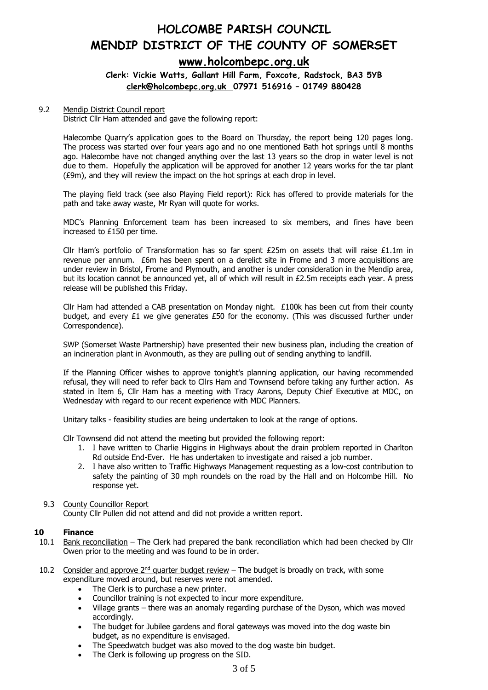## **HOLCOMBE PARISH COUNCIL MENDIP DISTRICT OF THE COUNTY OF SOMERSET [www.holcombepc.org.uk](http://www.holcombepc.org.uk/)**

### **Clerk: Vickie Watts, Gallant Hill Farm, Foxcote, Radstock, BA3 5YB [clerk@holcombepc.org.uk](mailto:victoriawatts@orange.net) 07971 516916 – 01749 880428**

#### 9.2 Mendip District Council report

District Cllr Ham attended and gave the following report:

Halecombe Quarry's application goes to the Board on Thursday, the report being 120 pages long. The process was started over four years ago and no one mentioned Bath hot springs until 8 months ago. Halecombe have not changed anything over the last 13 years so the drop in water level is not due to them. Hopefully the application will be approved for another 12 years works for the tar plant (£9m), and they will review the impact on the hot springs at each drop in level.

The playing field track (see also Playing Field report): Rick has offered to provide materials for the path and take away waste, Mr Ryan will quote for works.

MDC's Planning Enforcement team has been increased to six members, and fines have been increased to £150 per time.

Cllr Ham's portfolio of Transformation has so far spent  $E25m$  on assets that will raise  $E1.1m$  in revenue per annum. £6m has been spent on a derelict site in Frome and 3 more acquisitions are under review in Bristol, Frome and Plymouth, and another is under consideration in the Mendip area, but its location cannot be announced yet, all of which will result in £2.5m receipts each year. A press release will be published this Friday.

Cllr Ham had attended a CAB presentation on Monday night.  $£100k$  has been cut from their county budget, and every  $£1$  we give generates  $£50$  for the economy. (This was discussed further under Correspondence).

SWP (Somerset Waste Partnership) have presented their new business plan, including the creation of an incineration plant in Avonmouth, as they are pulling out of sending anything to landfill.

If the Planning Officer wishes to approve tonight's planning application, our having recommended refusal, they will need to refer back to Cllrs Ham and Townsend before taking any further action. As stated in Item 6, Cllr Ham has a meeting with Tracy Aarons, Deputy Chief Executive at MDC, on Wednesday with regard to our recent experience with MDC Planners.

Unitary talks - feasibility studies are being undertaken to look at the range of options.

Cllr Townsend did not attend the meeting but provided the following report:

- 1. I have written to Charlie Higgins in Highways about the drain problem reported in Charlton Rd outside End-Ever. He has undertaken to investigate and raised a job number.
- 2. I have also written to Traffic Highways Management requesting as a low-cost contribution to safety the painting of 30 mph roundels on the road by the Hall and on Holcombe Hill. No response yet.

### 9.3 County Councillor Report

County Cllr Pullen did not attend and did not provide a written report.

### **10 Finance**

- 10.1 Bank reconciliation The Clerk had prepared the bank reconciliation which had been checked by Cllr Owen prior to the meeting and was found to be in order.
- 10.2 Consider and approve  $2^{nd}$  quarter budget review The budget is broadly on track, with some expenditure moved around, but reserves were not amended.
	- The Clerk is to purchase a new printer.
	- Councillor training is not expected to incur more expenditure.
	- Village grants there was an anomaly regarding purchase of the Dyson, which was moved accordingly.
	- The budget for Jubilee gardens and floral gateways was moved into the dog waste bin budget, as no expenditure is envisaged.
	- The Speedwatch budget was also moved to the dog waste bin budget.
	- The Clerk is following up progress on the SID.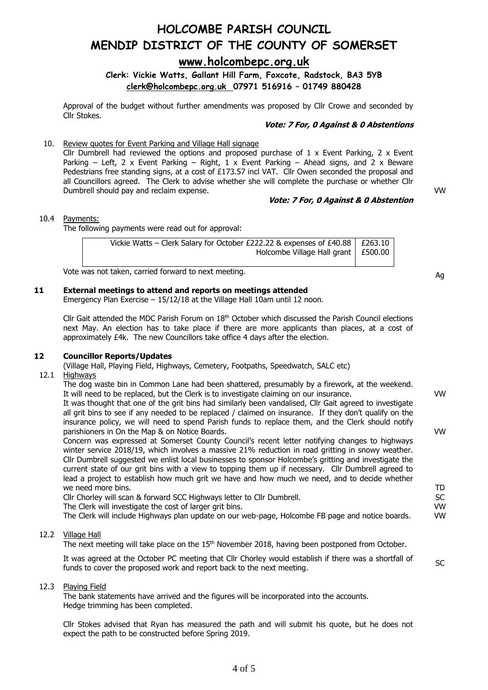**[www.holcombepc.org.uk](http://www.holcombepc.org.uk/)**

**Clerk: Vickie Watts, Gallant Hill Farm, Foxcote, Radstock, BA3 5YB [clerk@holcombepc.org.uk](mailto:victoriawatts@orange.net) 07971 516916 – 01749 880428**

Approval of the budget without further amendments was proposed by Cllr Crowe and seconded by Cllr Stokes.

#### **Vote: 7 For, 0 Against & 0 Abstentions**

10. Review quotes for Event Parking and Village Hall signage

Cllr Dumbrell had reviewed the options and proposed purchase of 1 x Event Parking, 2 x Event Parking – Left, 2 x Event Parking – Right, 1 x Event Parking – Ahead signs, and 2 x Beware Pedestrians free standing signs, at a cost of £173.57 incl VAT. Cllr Owen seconded the proposal and all Councillors agreed. The Clerk to advise whether she will complete the purchase or whether Cllr Dumbrell should pay and reclaim expense.

#### **Vote: 7 For, 0 Against & 0 Abstention**

VW

VW

VW

TD **SC** VW VW

SC

#### 10.4 Payments:

The following payments were read out for approval:

| Vickie Watts – Clerk Salary for October £222.22 & expenses of £40.88   £263.10 |  |
|--------------------------------------------------------------------------------|--|
| Holcombe Village Hall grant $\vert$ £500.00                                    |  |
|                                                                                |  |

Vote was not taken, carried forward to next meeting. Ag series were set on the control of the control of the control of the control of the control of the control of the control of the control of the control of the control

### **11 External meetings to attend and reports on meetings attended**

Emergency Plan Exercise – 15/12/18 at the Village Hall 10am until 12 noon.

Cllr Gait attended the MDC Parish Forum on  $18<sup>th</sup>$  October which discussed the Parish Council elections next May. An election has to take place if there are more applicants than places, at a cost of approximately £4k. The new Councillors take office 4 days after the election.

#### **12 Councillor Reports/Updates**

(Village Hall, Playing Field, Highways, Cemetery, Footpaths, Speedwatch, SALC etc)

#### 12.1 Highways

The dog waste bin in Common Lane had been shattered, presumably by a firework, at the weekend. It will need to be replaced, but the Clerk is to investigate claiming on our insurance.

It was thought that one of the grit bins had similarly been vandalised, Cllr Gait agreed to investigate all grit bins to see if any needed to be replaced / claimed on insurance. If they don't qualify on the insurance policy, we will need to spend Parish funds to replace them, and the Clerk should notify parishioners in On the Map & on Notice Boards.

Concern was expressed at Somerset County Council's recent letter notifying changes to highways winter service 2018/19, which involves a massive 21% reduction in road gritting in snowy weather. Cllr Dumbrell suggested we enlist local businesses to sponsor Holcombe's gritting and investigate the current state of our grit bins with a view to topping them up if necessary. Cllr Dumbrell agreed to lead a project to establish how much grit we have and how much we need, and to decide whether we need more bins.

Cllr Chorley will scan & forward SCC Highways letter to Cllr Dumbrell.

The Clerk will investigate the cost of larger grit bins.

The Clerk will include Highways plan update on our web-page, Holcombe FB page and notice boards.

#### 12.2 Village Hall

The next meeting will take place on the  $15<sup>th</sup>$  November 2018, having been postponed from October.

It was agreed at the October PC meeting that Cllr Chorley would establish if there was a shortfall of funds to cover the proposed work and report back to the next meeting.

#### 12.3 Playing Field

The bank statements have arrived and the figures will be incorporated into the accounts. Hedge trimming has been completed.

Cllr Stokes advised that Ryan has measured the path and will submit his quote, but he does not expect the path to be constructed before Spring 2019.